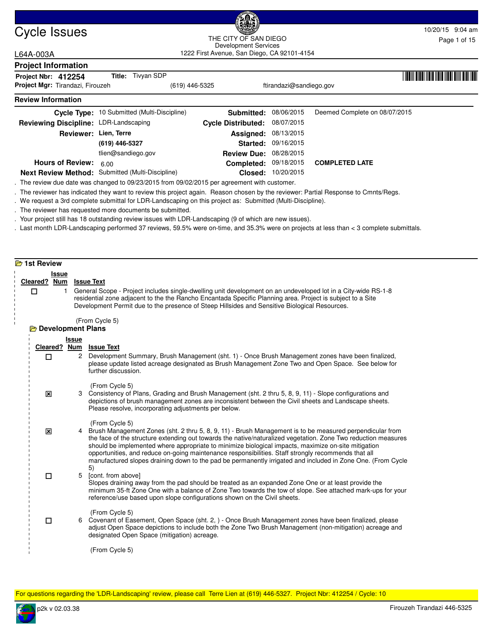

## Cycle Issues 10/20/15 9:04 am and the CITY OF SAN PIECE of the CITY OF SAN PIECE of the CITY OF SAN PIECE of the CITY OF SAN PIECE of the CITY OF SAN PIECE of the CITY OF SAN PIECE of the CITY OF SAN PIECE of the CITY OF S 1222 First Avenue, San Diego, CA 92101-4154 THE CITY OF SAN DIEGO Development Services

# L64A-003A

| <b>Project Information</b>                              |                                                  |                               |                         |                               |  |
|---------------------------------------------------------|--------------------------------------------------|-------------------------------|-------------------------|-------------------------------|--|
| Project Nbr: 412254<br>Project Mgr: Tirandazi, Firouzeh | Title: Tivyan SDP<br>(619) 446-5325              |                               | ftirandazi@sandiego.gov |                               |  |
| <b>Review Information</b>                               |                                                  |                               |                         |                               |  |
|                                                         | Cycle Type: 10 Submitted (Multi-Discipline)      | Submitted:                    | 08/06/2015              | Deemed Complete on 08/07/2015 |  |
| Reviewing Discipline: LDR-Landscaping                   |                                                  | <b>Cycle Distributed:</b>     | 08/07/2015              |                               |  |
| Reviewer: Lien, Terre                                   |                                                  | Assigned:                     | 08/13/2015              |                               |  |
|                                                         | (619) 446-5327                                   | Started:                      | 09/16/2015              |                               |  |
|                                                         | tlien@sandiego.gov                               | <b>Review Due: 08/28/2015</b> |                         |                               |  |
| <b>Hours of Review:</b>                                 | 6.00                                             | Completed:                    | 09/18/2015              | <b>COMPLETED LATE</b>         |  |
|                                                         | Next Review Method: Submitted (Multi-Discipline) |                               | Closed: 10/20/2015      |                               |  |

. The review due date was changed to 09/23/2015 from 09/02/2015 per agreement with customer.

. The reviewer has indicated they want to review this project again. Reason chosen by the reviewer: Partial Response to Cmnts/Regs.

. We request a 3rd complete submittal for LDR-Landscaping on this project as: Submitted (Multi-Discipline).

. The reviewer has requested more documents be submitted.

. Your project still has 18 outstanding review issues with LDR-Landscaping (9 of which are new issues).

. Last month LDR-Landscaping performed 37 reviews, 59.5% were on-time, and 35.3% were on projects at less than < 3 complete submittals.

## **2** 1st Review **Issue Cleared ? Num Issue Text** 1 General Scope - Project includes single-dwelling unit development on an undeveloped lot in a City-wide RS-1-8 residential zone adjacent to the the Rancho Encantada Specific Planning area. Project is subject to a Site Development Permit due to the presence of Steep Hillsides and Sensitive Biological Resources. (From Cycle 5) П **Development Plans Issue Cleared ? Num Issue Text** 2 Development Summary, Brush Management (sht. 1) - Once Brush Management zones have been finalized, please update listed acreage designated as Brush Management Zone Two and Open Space. See below for further discussion. (From Cycle 5)  $\Box$ 3 Consistency of Plans, Grading and Brush Management (sht. 2 thru 5, 8, 9, 11) - Slope configurations and depictions of brush management zones are inconsistent between the Civil sheets and Landscape sheets. Please resolve, incorporating adjustments per below. (From Cycle 5)  $\overline{\mathbf{x}}$ 4 Brush Management Zones (sht. 2 thru 5, 8, 9, 11) - Brush Management is to be measured perpendicular from the face of the structure extending out towards the native/naturalized vegetation. Zone Two reduction measures should be implemented where appropriate to minimize biological impacts, maximize on-site mitigation opportunities, and reduce on-going maintenance responsibilities. Staff strongly recommends that all manufactured slopes draining down to the pad be permanently irrigated and included in Zone One. (From Cycle 5)  $\vert x \vert$ 5 [cont. from above] Slopes draining away from the pad should be treated as an expanded Zone One or at least provide the minimum 35-ft Zone One with a balance of Zone Two towards the tow of slope. See attached mark-ups for your reference/use based upon slope configurations shown on the Civil sheets. (From Cycle 5)  $\Box$ 6 Covenant of Easement, Open Space (sht. 2, ) - Once Brush Management zones have been finalized, please adjust Open Space depictions to include both the Zone Two Brush Management (non-mitigation) acreage and designated Open Space (mitigation) acreage. (From Cycle 5)  $\Box$

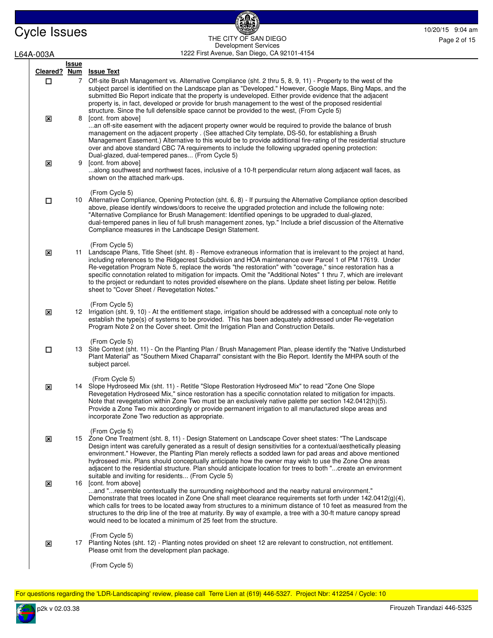# Cycle Issues 10/20/15 9:04 am 1222 First Avenue, San Diego, CA 92101-4154 THE CITY OF SAN DIEGO Development Services

£

Page 2 of 15

L64A-003A

| A-003A                    |              | 1222 FIrst Avenue, San Diego, CA 92101-4154                                                                                                                                                                                                                                                                                                                                                                                                                                                                                                                                                                                                           |
|---------------------------|--------------|-------------------------------------------------------------------------------------------------------------------------------------------------------------------------------------------------------------------------------------------------------------------------------------------------------------------------------------------------------------------------------------------------------------------------------------------------------------------------------------------------------------------------------------------------------------------------------------------------------------------------------------------------------|
|                           | <b>Issue</b> |                                                                                                                                                                                                                                                                                                                                                                                                                                                                                                                                                                                                                                                       |
| Cleared? Num<br>□         | $7^{\circ}$  | <b>Issue Text</b><br>Off-site Brush Management vs. Alternative Compliance (sht. 2 thru 5, 8, 9, 11) - Property to the west of the<br>subject parcel is identified on the Landscape plan as "Developed." However, Google Maps, Bing Maps, and the<br>submitted Bio Report indicate that the property is undeveloped. Either provide evidence that the adjacent<br>property is, in fact, developed or provide for brush management to the west of the proposed residential<br>structure. Since the full defensible space cannot be provided to the west, (From Cycle 5)                                                                                 |
| $\boldsymbol{\mathsf{x}}$ | 8            | [cont. from above]<br>an off-site easement with the adjacent property owner would be required to provide the balance of brush<br>management on the adjacent property . (See attached City template, DS-50, for establishing a Brush<br>Management Easement.) Alternative to this would be to provide additional fire-rating of the residential structure<br>over and above standard CBC 7A requirements to include the following upgraded opening protection:<br>Dual-glazed, dual-tempered panes (From Cycle 5)                                                                                                                                      |
| $\mathbf x$               | 9            | [cont. from above]<br>along southwest and northwest faces, inclusive of a 10-ft perpendicular return along adjacent wall faces, as<br>shown on the attached mark-ups.                                                                                                                                                                                                                                                                                                                                                                                                                                                                                 |
| □                         |              | (From Cycle 5)<br>10 Alternative Compliance, Opening Protection (sht. 6, 8) - If pursuing the Alternative Compliance option described<br>above, please identify windows/doors to receive the upgraded protection and include the following note:<br>"Alternative Compliance for Brush Management: Identified openings to be upgraded to dual-glazed,<br>dual-tempered panes in lieu of full brush management zones, typ." Include a brief discussion of the Alternative<br>Compliance measures in the Landscape Design Statement.                                                                                                                     |
| $\boldsymbol{\mathsf{x}}$ |              | (From Cycle 5)<br>11 Landscape Plans, Title Sheet (sht. 8) - Remove extraneous information that is irrelevant to the project at hand,<br>including references to the Ridgecrest Subdivision and HOA maintenance over Parcel 1 of PM 17619. Under<br>Re-vegetation Program Note 5, replace the words "the restoration" with "coverage," since restoration has a<br>specific connotation related to mitigation for impacts. Omit the "Additional Notes" 1 thru 7, which are irrelevant<br>to the project or redundant to notes provided elsewhere on the plans. Update sheet listing per below. Retitle<br>sheet to "Cover Sheet / Revegetation Notes." |
| ×                         |              | (From Cycle 5)<br>12 Irrigation (sht. 9, 10) - At the entitlement stage, irrigation should be addressed with a conceptual note only to<br>establish the type(s) of systems to be provided. This has been adequately addressed under Re-vegetation<br>Program Note 2 on the Cover sheet. Omit the Irrigation Plan and Construction Details.                                                                                                                                                                                                                                                                                                            |
| $\Box$                    |              | (From Cycle 5)<br>13 Site Context (sht. 11) - On the Planting Plan / Brush Management Plan, please identify the "Native Undisturbed<br>Plant Material" as "Southern Mixed Chaparral" consistant with the Bio Report. Identify the MHPA south of the<br>subject parcel.                                                                                                                                                                                                                                                                                                                                                                                |
| ×                         |              | (From Cycle 5)<br>14 Slope Hydroseed Mix (sht. 11) - Retitle "Slope Restoration Hydroseed Mix" to read "Zone One Slope<br>Revegetation Hydroseed Mix," since restoration has a specific connotation related to mitigation for impacts.<br>Note that revegetation within Zone Two must be an exclusively native palette per section 142.0412(h)(5).<br>Provide a Zone Two mix accordingly or provide permanent irrigation to all manufactured slope areas and<br>incorporate Zone Two reduction as appropriate.                                                                                                                                        |
| ×                         |              | (From Cycle 5)<br>15 Zone One Treatment (sht. 8, 11) - Design Statement on Landscape Cover sheet states: "The Landscape<br>Design intent was carefully generated as a result of design sensitivities for a contextual/aesthetically pleasing<br>environment." However, the Planting Plan merely reflects a sodded lawn for pad areas and above mentioned<br>hydroseed mix. Plans should conceptually anticipate how the owner may wish to use the Zone One areas<br>adjacent to the residential structure. Plan should anticipate location for trees to both "create an environment                                                                   |
| $\boldsymbol{\mathsf{x}}$ | 16           | suitable and inviting for residents (From Cycle 5)<br>[cont. from above]<br>and "resemble contextually the surrounding neighborhood and the nearby natural environment."<br>Demonstrate that trees located in Zone One shall meet clearance requirements set forth under $142.0412(g)(4)$ ,<br>which calls for trees to be located away from structures to a minimum distance of 10 feet as measured from the<br>structures to the drip line of the tree at maturity. By way of example, a tree with a 30-ft mature canopy spread<br>would need to be located a minimum of 25 feet from the structure.                                                |
| ×                         |              | (From Cycle 5)<br>17 Planting Notes (sht. 12) - Planting notes provided on sheet 12 are relevant to construction, not entitlement.<br>Please omit from the development plan package.                                                                                                                                                                                                                                                                                                                                                                                                                                                                  |
|                           |              | (From Cycle 5)                                                                                                                                                                                                                                                                                                                                                                                                                                                                                                                                                                                                                                        |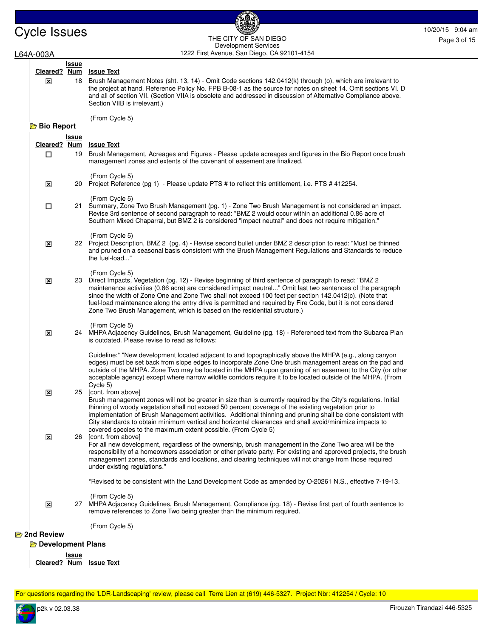# Cycle Issues 10/20/15 9:04 am 1222 First Avenue, San Diego, CA 92101-4154 THE CITY OF SAN DIEGO Development Services

ß

| L64A-003A                  |              | Development Services<br>1222 First Avenue, San Diego, CA 92101-4154                                                                                                                                                                                                                                                                                                                                                                                                                                                                             |
|----------------------------|--------------|-------------------------------------------------------------------------------------------------------------------------------------------------------------------------------------------------------------------------------------------------------------------------------------------------------------------------------------------------------------------------------------------------------------------------------------------------------------------------------------------------------------------------------------------------|
|                            | <u>Issue</u> |                                                                                                                                                                                                                                                                                                                                                                                                                                                                                                                                                 |
| Cleared? Num               |              | <b>Issue Text</b>                                                                                                                                                                                                                                                                                                                                                                                                                                                                                                                               |
| $\mathbf x$                |              | 18 Brush Management Notes (sht. 13, 14) - Omit Code sections 142.0412(k) through (o), which are irrelevant to<br>the project at hand. Reference Policy No. FPB B-08-1 as the source for notes on sheet 14. Omit sections VI. D<br>and all of section VII. (Section VIIA is obsolete and addressed in discussion of Alternative Compliance above.<br>Section VIIB is irrelevant.)                                                                                                                                                                |
| <b>Bio Report</b>          |              | (From Cycle 5)                                                                                                                                                                                                                                                                                                                                                                                                                                                                                                                                  |
|                            | <b>Issue</b> |                                                                                                                                                                                                                                                                                                                                                                                                                                                                                                                                                 |
| Cleared? Num<br>$\Box$     |              | <b>Issue Text</b><br>19 Brush Management, Acreages and Figures - Please update acreages and figures in the Bio Report once brush<br>management zones and extents of the covenant of easement are finalized.                                                                                                                                                                                                                                                                                                                                     |
| $\overline{\mathbf{x}}$    |              | (From Cycle 5)<br>20 Project Reference (pg 1) - Please update PTS # to reflect this entitlement, i.e. PTS # 412254.                                                                                                                                                                                                                                                                                                                                                                                                                             |
| $\Box$                     |              | (From Cycle 5)<br>21 Summary, Zone Two Brush Management (pg. 1) - Zone Two Brush Management is not considered an impact.<br>Revise 3rd sentence of second paragraph to read: "BMZ 2 would occur within an additional 0.86 acre of<br>Southern Mixed Chaparral, but BMZ 2 is considered "impact neutral" and does not require mitigation."                                                                                                                                                                                                       |
| $\boldsymbol{\mathsf{x}}$  |              | (From Cycle 5)<br>22 Project Description, BMZ 2 (pg. 4) - Revise second bullet under BMZ 2 description to read: "Must be thinned<br>and pruned on a seasonal basis consistent with the Brush Management Regulations and Standards to reduce<br>the fuel-load"                                                                                                                                                                                                                                                                                   |
| $\overline{\mathbf{x}}$    |              | (From Cycle 5)<br>23 Direct Impacts, Vegetation (pg. 12) - Revise beginning of third sentence of paragraph to read: "BMZ 2<br>maintenance activities (0.86 acre) are considered impact neutral" Omit last two sentences of the paragraph<br>since the width of Zone One and Zone Two shall not exceed 100 feet per section 142.0412(c). (Note that<br>fuel-load maintenance along the entry drive is permitted and required by Fire Code, but it is not considered<br>Zone Two Brush Management, which is based on the residential structure.)  |
| 区                          |              | (From Cycle 5)<br>24 MHPA Adjacency Guidelines, Brush Management, Guideline (pg. 18) - Referenced text from the Subarea Plan<br>is outdated. Please revise to read as follows:                                                                                                                                                                                                                                                                                                                                                                  |
|                            |              | Guideline:* "New development located adjacent to and topographically above the MHPA (e.g., along canyon<br>edges) must be set back from slope edges to incorporate Zone One brush management areas on the pad and<br>outside of the MHPA. Zone Two may be located in the MHPA upon granting of an easement to the City (or other<br>acceptable agency) except where narrow wildlife corridors require it to be located outside of the MHPA. (From<br>Cycle 5)                                                                                   |
| ⊠                          |              | 25 [cont. from above]<br>Brush management zones will not be greater in size than is currently required by the City's regulations. Initial<br>thinning of woody vegetation shall not exceed 50 percent coverage of the existing vegetation prior to<br>implementation of Brush Management activities. Additional thinning and pruning shall be done consistent with<br>City standards to obtain minimum vertical and horizontal clearances and shall avoid/minimize impacts to<br>covered species to the maximum extent possible. (From Cycle 5) |
| ⊠                          |              | 26 [cont. from above]<br>For all new development, regardless of the ownership, brush management in the Zone Two area will be the<br>responsibility of a homeowners association or other private party. For existing and approved projects, the brush<br>management zones, standards and locations, and clearing techniques will not change from those required<br>under existing regulations."                                                                                                                                                  |
|                            |              | *Revised to be consistent with the Land Development Code as amended by O-20261 N.S., effective 7-19-13.                                                                                                                                                                                                                                                                                                                                                                                                                                         |
| ⊠                          | 27           | (From Cycle 5)<br>MHPA Adjacency Guidelines, Brush Management, Compliance (pg. 18) - Revise first part of fourth sentence to<br>remove references to Zone Two being greater than the minimum required.                                                                                                                                                                                                                                                                                                                                          |
|                            |              | (From Cycle 5)                                                                                                                                                                                                                                                                                                                                                                                                                                                                                                                                  |
| <b>E</b> 2nd Review        |              |                                                                                                                                                                                                                                                                                                                                                                                                                                                                                                                                                 |
| <b>E</b> Development Plans |              |                                                                                                                                                                                                                                                                                                                                                                                                                                                                                                                                                 |
|                            | Issue        |                                                                                                                                                                                                                                                                                                                                                                                                                                                                                                                                                 |

 $\overline{\phantom{a}}$ **Cleared ? Num Issue Text**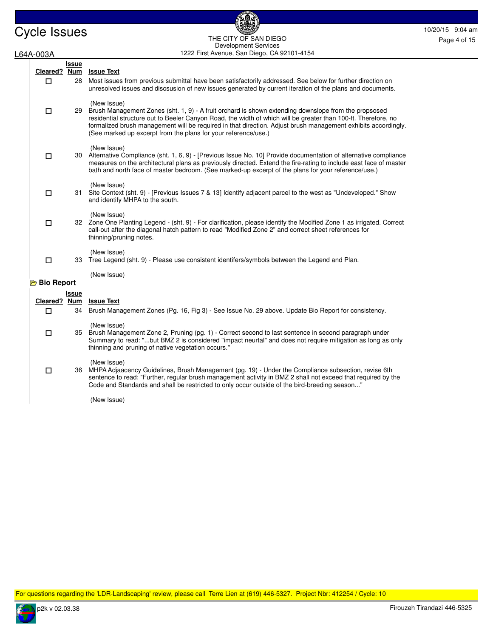Cycle Issues 10/20/15 9:04 am and the City of San Diego and the City of San Diego 10/20/15 9:04 am and the City of San Diego and the City of San Diego and the Page 4 of 15 1222 First Avenue, San Diego, CA 92101-4154 THE CITY OF SAN DIEGO Development Services

6

# L64A-003A

| Cleared? Num      | Issue        | <b>Issue Text</b>                                                                                                                                                                                                                                                                                                                                                                                                           |
|-------------------|--------------|-----------------------------------------------------------------------------------------------------------------------------------------------------------------------------------------------------------------------------------------------------------------------------------------------------------------------------------------------------------------------------------------------------------------------------|
| □                 | 28           | Most issues from previous submittal have been satisfactorily addressed. See below for further direction on<br>unresolved issues and discsusion of new issues generated by current iteration of the plans and documents.                                                                                                                                                                                                     |
| $\Box$            |              | (New Issue)<br>29 Brush Management Zones (sht. 1, 9) - A fruit orchard is shown extending downslope from the propsosed<br>residential structure out to Beeler Canyon Road, the width of which will be greater than 100-ft. Therefore, no<br>formalized brush management will be required in that direction. Adjust brush management exhibits accordingly.<br>(See marked up excerpt from the plans for your reference/use.) |
| $\Box$            |              | (New Issue)<br>30 Alternative Compliance (sht. 1, 6, 9) - [Previous Issue No. 10] Provide documentation of alternative compliance<br>measures on the architectural plans as previously directed. Extend the fire-rating to include east face of master<br>bath and north face of master bedroom. (See marked-up excerpt of the plans for your reference/use.)                                                               |
| $\Box$            |              | (New Issue)<br>31 Site Context (sht. 9) - [Previous Issues 7 & 13] Identify adjacent parcel to the west as "Undeveloped." Show<br>and identify MHPA to the south.                                                                                                                                                                                                                                                           |
| □                 |              | (New Issue)<br>32 Zone One Planting Legend - (sht. 9) - For clarification, please identify the Modified Zone 1 as irrigated. Correct<br>call-out after the diagonal hatch pattern to read "Modified Zone 2" and correct sheet references for<br>thinning/pruning notes.                                                                                                                                                     |
| $\Box$            |              | (New Issue)<br>33 Tree Legend (sht. 9) - Please use consistent identifers/symbols between the Legend and Plan.                                                                                                                                                                                                                                                                                                              |
| <b>Bio Report</b> |              | (New Issue)                                                                                                                                                                                                                                                                                                                                                                                                                 |
|                   | <b>Issue</b> |                                                                                                                                                                                                                                                                                                                                                                                                                             |
| Cleared? Num      |              | <b>Issue Text</b>                                                                                                                                                                                                                                                                                                                                                                                                           |
| П                 |              | 34 Brush Management Zones (Pg. 16, Fig 3) - See Issue No. 29 above. Update Bio Report for consistency.                                                                                                                                                                                                                                                                                                                      |
| $\Box$            |              | (New Issue)<br>35 Brush Management Zone 2, Pruning (pg. 1) - Correct second to last sentence in second paragraph under<br>Summary to read: "but BMZ 2 is considered "impact neurtal" and does not require mitigation as long as only<br>thinning and pruning of native vegetation occurs."                                                                                                                                  |
| $\Box$            |              | (New Issue)<br>36 MHPA Adjaacency Guidelines, Brush Management (pg. 19) - Under the Compliance subsection, revise 6th<br>sentence to read: "Further, regular brush management activity in BMZ 2 shall not exceed that required by the<br>Code and Standards and shall be restricted to only occur outside of the bird-breeding season"                                                                                      |
|                   |              | (New Issue)                                                                                                                                                                                                                                                                                                                                                                                                                 |

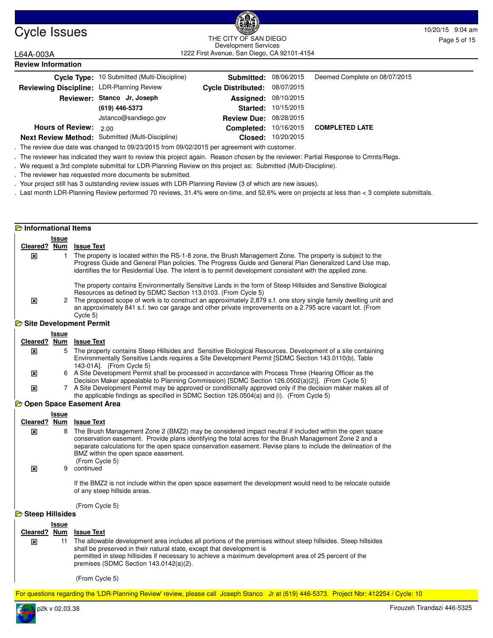

## Cycle Issues 10/20/15 9:04 am and the CITY OF SAN PIECE of the CITY OF SAN PIECE of the CITY OF SAN PIECE of the CITY OF SAN PIECE of the CITY OF SAN PIECE of the CITY OF SAN PIECE of the CITY OF SAN PIECE of the CITY OF S 1222 First Avenue, San Diego, CA 92101-4154 THE CITY OF SAN DIEGO Development Services

L64A-003A

| <b>Review Information</b>                 |                                                  |                           |            |                               |
|-------------------------------------------|--------------------------------------------------|---------------------------|------------|-------------------------------|
|                                           | Cycle Type: 10 Submitted (Multi-Discipline)      | Submitted:                | 08/06/2015 | Deemed Complete on 08/07/2015 |
| Reviewing Discipline: LDR-Planning Review |                                                  | <b>Cycle Distributed:</b> | 08/07/2015 |                               |
|                                           | Reviewer: Stanco Jr, Joseph                      | Assigned:                 | 08/10/2015 |                               |
|                                           | (619) 446-5373                                   | Started:                  | 10/15/2015 |                               |
|                                           | Jstanco@sandiego.gov                             | <b>Review Due:</b>        | 08/28/2015 |                               |
| <b>Hours of Review:</b>                   | 200                                              | Completed:                | 10/16/2015 | <b>COMPLETED LATE</b>         |
|                                           | Next Review Method: Submitted (Multi-Discipline) | Closed:                   | 10/20/2015 |                               |

**Next Review Method:** Submitted (Multi-Discipline)

. The review due date was changed to 09/23/2015 from 09/02/2015 per agreement with customer.

. The reviewer has indicated they want to review this project again. Reason chosen by the reviewer: Partial Response to Cmnts/Regs.

. We request a 3rd complete submittal for LDR-Planning Review on this project as: Submitted (Multi-Discipline).

. The reviewer has requested more documents be submitted.

. Your project still has 3 outstanding review issues with LDR-Planning Review (3 of which are new issues).

. Last month LDR-Planning Review performed 70 reviews, 31.4% were on-time, and 52.6% were on projects at less than < 3 complete submittals.

# **Informational Items**

|   | Issue      |                                                                                                                                                                                                                                                                                                                                                                                                                               |
|---|------------|-------------------------------------------------------------------------------------------------------------------------------------------------------------------------------------------------------------------------------------------------------------------------------------------------------------------------------------------------------------------------------------------------------------------------------|
|   | <b>Num</b> | <b>Issue Text</b>                                                                                                                                                                                                                                                                                                                                                                                                             |
| ⊠ |            | The property is located within the RS-1-8 zone, the Brush Management Zone. The property is subject to the<br>Progress Guide and General Plan policies. The Progress Guide and General Plan Generalized Land Use map.<br>identifies the for Residential Use. The intent is to permit development consistent with the applied zone.                                                                                             |
| x |            | The property contains Environmentally Sensitive Lands in the form of Steep Hillsides and Sensitive Biological<br>Resources as defined by SDMC Section 113.0103. (From Cycle 5)<br>2 The proposed scope of work is to construct an approximately 2,879 s.f. one story single family dwelling unit and<br>an approximately 841 s.f. two car garage and other private improvements on a 2.795 acre vacant lot. (From<br>Cycle 5) |
|   |            |                                                                                                                                                                                                                                                                                                                                                                                                                               |
|   |            | Cleared?<br>Site Development Permit                                                                                                                                                                                                                                                                                                                                                                                           |

### **Issue Cleared ? Num Issue Text** 5 The property contains Steep Hillsides and Sensitive Biological Resources. Development of a site containing Environmentally Sensitive Lands requires a Site Development Permit [SDMC Section 143.0110(b), Table 143-01A]. (From Cycle 5)  $\overline{\mathbf{x}}$ 6 A Site Development Permit shall be processed in accordance with Process Three (Hearing Officer as the  $\overline{\mathbf{x}}$

Decision Maker appealable to Planning Commission) [SDMC Section 126.0502(a)(2)]. (From Cycle 5) 7 A Site Development Permit may be approved or conditionally approved only if the decision maker makes all of the applicable findings as specified in SDMC Section 126.0504(a) and (i). (From Cycle 5)  $\overline{\mathbf{x}}$ 

# **D** Open Space Easement Area

|                 | Issue |                                                                                                                                                                                                                                                                                                                                                                                            |
|-----------------|-------|--------------------------------------------------------------------------------------------------------------------------------------------------------------------------------------------------------------------------------------------------------------------------------------------------------------------------------------------------------------------------------------------|
| Cleared? Num    |       | <b>Issue Text</b>                                                                                                                                                                                                                                                                                                                                                                          |
| ⊠               | 8     | The Brush Management Zone 2 (BMZ2) may be considered impact neutral if included within the open space<br>conservation easement. Provide plans identifying the total acres for the Brush Management Zone 2 and a<br>separate calculations for the open space conservation easement. Revise plans to include the delineation of the<br>BMZ within the open space easement.<br>(From Cycle 5) |
| ⊠               | 9     | continued                                                                                                                                                                                                                                                                                                                                                                                  |
|                 |       | If the BMZ2 is not include within the open space easement the development would need to be relocate outside<br>of any steep hillside areas.                                                                                                                                                                                                                                                |
|                 |       | (From Cycle 5)                                                                                                                                                                                                                                                                                                                                                                             |
| Steep Hillsides |       |                                                                                                                                                                                                                                                                                                                                                                                            |
|                 | Issue |                                                                                                                                                                                                                                                                                                                                                                                            |
| Cleared? Num    |       | <b>Issue Text</b>                                                                                                                                                                                                                                                                                                                                                                          |
| ⊠               | 11    | The allowable development area includes all portions of the premises without steep hillsides. Steep hillsides<br>shall be preserved in their natural state, except that development is<br>permitted in steep hillisides if necessary to achieve a maximum development area of 25 percent of the<br>premises (SDMC Section $143.0142(a)(2)$ .                                               |

(From Cycle 5)

For questions regarding the 'LDR-Planning Review' review, please call Joseph Stanco Jr at (619) 446-5373. Project Nbr: 412254 / Cycle: 10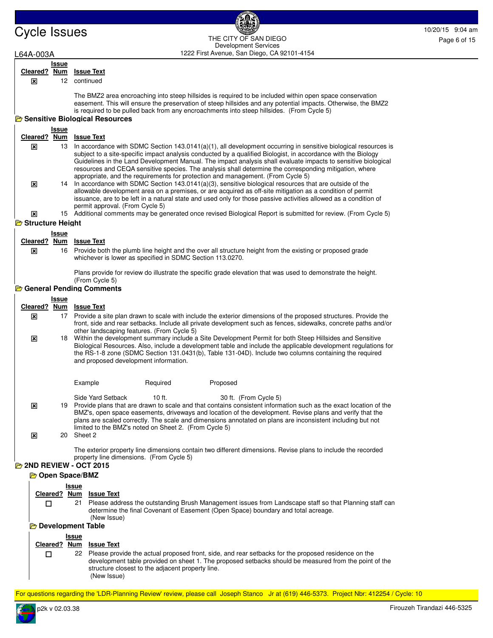# Cycle Issues 10/20/15 9:04 am and the City of San Diego Contract of the City of San Diego Contract 20015 9:04 am and the City of San Diego Contract 20015 9:04 am and the City of San Diego Contract 20015 9:04 am and the Cit 1222 First Avenue, San Diego, CA 92101-4154 THE CITY OF SAN DIEGO Development Services

# L64A-003A

 $\overline{\mathbf{x}}$ 

## **Issue Cleared ? Num Issue Text**

12 continued

The BMZ2 area encroaching into steep hillsides is required to be included within open space conservation easement. This will ensure the preservation of steep hillsides and any potential impacts. Otherwise, the BMZ2 is required to be pulled back from any encroachments into steep hillsides. (From Cycle 5)

# **B** Sensitive Biological Resources

|                  | Issue        |                                                                                                                                                                                                                                                                                                                                                                                                                                                                                                                                                                                                                                                               |
|------------------|--------------|---------------------------------------------------------------------------------------------------------------------------------------------------------------------------------------------------------------------------------------------------------------------------------------------------------------------------------------------------------------------------------------------------------------------------------------------------------------------------------------------------------------------------------------------------------------------------------------------------------------------------------------------------------------|
| Cleared? Num     |              | <b>Issue Text</b>                                                                                                                                                                                                                                                                                                                                                                                                                                                                                                                                                                                                                                             |
| x<br> x          | 13           | In accordance with SDMC Section $143.0141(a)(1)$ , all development occurring in sensitive biological resources is<br>subject to a site-specific impact analysis conducted by a qualified Biologist, in accordance with the Biology<br>Guidelines in the Land Development Manual. The impact analysis shall evaluate impacts to sensitive biological<br>resources and CEQA sensitive species. The analysis shall determine the corresponding mitigation, where<br>appropriate, and the requirements for protection and management. (From Cycle 5)<br>14 In accordance with SDMC Section 143.0141(a)(3), sensitive biological resources that are outside of the |
| 図                |              | allowable development area on a premises, or are acquired as off-site mitigation as a condition of permit<br>issuance, are to be left in a natural state and used only for those passive activities allowed as a condition of<br>permit approval. (From Cycle 5)<br>15 Additional comments may be generated once revised Biological Report is submitted for review. (From Cycle 5)                                                                                                                                                                                                                                                                            |
| Structure Height |              |                                                                                                                                                                                                                                                                                                                                                                                                                                                                                                                                                                                                                                                               |
|                  | <b>Issue</b> |                                                                                                                                                                                                                                                                                                                                                                                                                                                                                                                                                                                                                                                               |
|                  |              | Cleared? Num Issue Text                                                                                                                                                                                                                                                                                                                                                                                                                                                                                                                                                                                                                                       |
| x                |              | 16 Provide both the plumb line height and the over all structure height from the existing or proposed grade<br>whichever is lower as specified in SDMC Section 113.0270.                                                                                                                                                                                                                                                                                                                                                                                                                                                                                      |
|                  |              | Plans provide for review do illustrate the specific grade elevation that was used to demonstrate the height.<br>(From Cycle 5)                                                                                                                                                                                                                                                                                                                                                                                                                                                                                                                                |

### `⇔-**General Pending Comments**

|        | General Fending Comments                                                                                                                                                                                                   |                                                                                                                                                                                                                                                                                                                                                                                                                               |  |  |  |  |  |
|--------|----------------------------------------------------------------------------------------------------------------------------------------------------------------------------------------------------------------------------|-------------------------------------------------------------------------------------------------------------------------------------------------------------------------------------------------------------------------------------------------------------------------------------------------------------------------------------------------------------------------------------------------------------------------------|--|--|--|--|--|
|        | <b>Issue</b>                                                                                                                                                                                                               |                                                                                                                                                                                                                                                                                                                                                                                                                               |  |  |  |  |  |
|        |                                                                                                                                                                                                                            | Cleared? Num Issue Text                                                                                                                                                                                                                                                                                                                                                                                                       |  |  |  |  |  |
| 区      |                                                                                                                                                                                                                            | 17 Provide a site plan drawn to scale with include the exterior dimensions of the proposed structures. Provide the<br>front, side and rear setbacks. Include all private development such as fences, sidewalks, concrete paths and/or                                                                                                                                                                                         |  |  |  |  |  |
| ⊠      |                                                                                                                                                                                                                            | other landscaping features. (From Cycle 5)<br>18 Within the development summary include a Site Development Permit for both Steep Hillsides and Sensitive<br>Biological Resources. Also, include a development table and include the applicable development regulations for<br>the RS-1-8 zone (SDMC Section 131.0431(b), Table 131-04D). Include two columns containing the required<br>and proposed development information. |  |  |  |  |  |
|        |                                                                                                                                                                                                                            | Example<br>Required<br>Proposed                                                                                                                                                                                                                                                                                                                                                                                               |  |  |  |  |  |
| ⊠      |                                                                                                                                                                                                                            | Side Yard Setback<br>$10$ ft.<br>30 ft. (From Cycle 5)<br>19 Provide plans that are drawn to scale and that contains consistent information such as the exact location of the                                                                                                                                                                                                                                                 |  |  |  |  |  |
|        |                                                                                                                                                                                                                            | BMZ's, open space easements, driveways and location of the development. Revise plans and verify that the<br>plans are scaled correctly. The scale and dimensions annotated on plans are inconsistent including but not<br>limited to the BMZ's noted on Sheet 2. (From Cycle 5)                                                                                                                                               |  |  |  |  |  |
| ⊠      |                                                                                                                                                                                                                            | 20 Sheet 2                                                                                                                                                                                                                                                                                                                                                                                                                    |  |  |  |  |  |
|        |                                                                                                                                                                                                                            | The exterior property line dimensions contain two different dimensions. Revise plans to include the recorded<br>property line dimensions. (From Cycle 5)                                                                                                                                                                                                                                                                      |  |  |  |  |  |
|        |                                                                                                                                                                                                                            | <b>2ND REVIEW - OCT 2015</b>                                                                                                                                                                                                                                                                                                                                                                                                  |  |  |  |  |  |
|        |                                                                                                                                                                                                                            | <b>D</b> Open Space/BMZ                                                                                                                                                                                                                                                                                                                                                                                                       |  |  |  |  |  |
|        |                                                                                                                                                                                                                            | <u>Issue</u><br>Cleared? Num Issue Text                                                                                                                                                                                                                                                                                                                                                                                       |  |  |  |  |  |
|        | Please address the outstanding Brush Management issues from Landscape staff so that Planning staff can<br>$\Box$<br>21<br>determine the final Covenant of Easement (Open Space) boundary and total acreage.<br>(New Issue) |                                                                                                                                                                                                                                                                                                                                                                                                                               |  |  |  |  |  |
|        | <b>B</b> Development Table                                                                                                                                                                                                 |                                                                                                                                                                                                                                                                                                                                                                                                                               |  |  |  |  |  |
|        |                                                                                                                                                                                                                            | <b>Issue</b><br>Cleared? Num Issue Text                                                                                                                                                                                                                                                                                                                                                                                       |  |  |  |  |  |
| $\Box$ |                                                                                                                                                                                                                            | Please provide the actual proposed front, side, and rear setbacks for the proposed residence on the<br>22<br>development table provided on sheet 1. The proposed setbacks should be measured from the point of the<br>structure closest to the adjacent property line.<br>(New Issue)                                                                                                                                         |  |  |  |  |  |

For questions regarding the 'LDR-Planning Review' review, please call Joseph Stanco Jr at (619) 446-5373. Project Nbr: 412254 / Cycle: 10

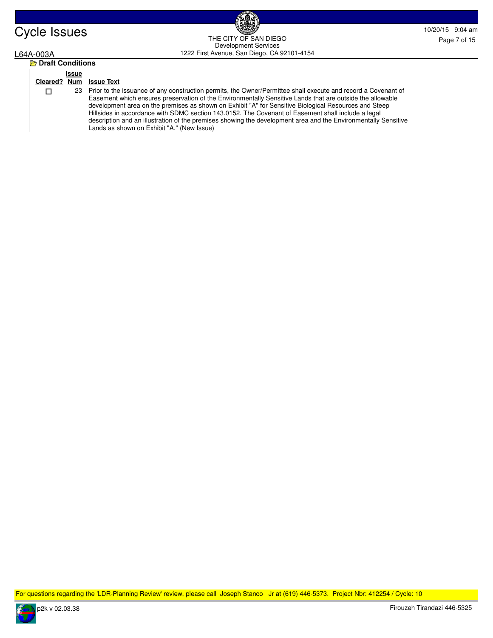

# Cycle Issues 10/20/15 9:04 am and the Cycle Issues 10/20/15 9:04 am and the Cycle Issues of the Cycle Issues 2015 10/20/15 9:04 am and the Cycle Issues 2015 10/20/15 9:04 am and the Cycle Issues 2015 10:04 am and the Cycle 1222 First Avenue, San Diego, CA 92101-4154 THE CITY OF SAN DIEGO Development Services

# L64A-003A

| <b>P</b> Draft Conditions |       |                                                           |  |  |
|---------------------------|-------|-----------------------------------------------------------|--|--|
|                           | Issue | Cleared? Num Issue Text                                   |  |  |
| ΙI                        | 23    | Prior to the issual<br>Easement which<br>development area |  |  |

nce of any construction permits, the Owner/Permittee shall execute and record a Covenant of ensures preservation of the Environmentally Sensitive Lands that are outside the allowable a on the premises as shown on Exhibit "A" for Sensitive Biological Resources and Steep Hillsides in accordance with SDMC section 143.0152. The Covenant of Easement shall include a legal description and an illustration of the premises showing the development area and the Environmentally Sensitive Lands as shown on Exhibit "A." (New Issue)

For questions regarding the 'LDR-Planning Review' review, please call Joseph Stanco Jr at (619) 446-5373. Project Nbr: 412254 / Cycle: 10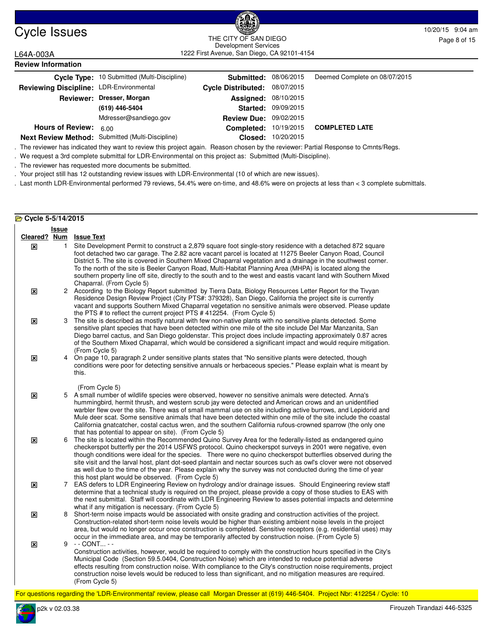

# Cycle Issues 10/20/15 9:04 am and the Cycle Issues 10/20/15 9:04 am and the Cycle Issues of the Cycle Issues of the Cycle Issues of the Cycle Issues of the Cycle Issues of the Cycle Issues of the Cycle Issues of the Cycle THE CITY OF SAN DIEGO Development Services

Page 8 of 15

1222 First Avenue, San Diego, CA 92101-4154

| L64A-003A                 |                                   |
|---------------------------|-----------------------------------|
| <b>Review Information</b> |                                   |
|                           | Cycle Type: 10 Submitted (Multi-D |

|                                         | Cycle Type: 10 Submitted (Multi-Discipline)      | <b>Submitted: 08/06/2015</b>  |                            | Deemed Complete on 08/07/2015 |
|-----------------------------------------|--------------------------------------------------|-------------------------------|----------------------------|-------------------------------|
| Reviewing Discipline: LDR-Environmental |                                                  | Cycle Distributed: 08/07/2015 |                            |                               |
|                                         | Reviewer: Dresser, Morgan                        | <b>Assigned: 08/10/2015</b>   |                            |                               |
|                                         | (619) 446-5404                                   |                               | <b>Started: 09/09/2015</b> |                               |
|                                         | Mdresser@sandiego.gov                            | Review Due: 09/02/2015        |                            |                               |
| <b>Hours of Review:</b>                 | 6.00                                             | <b>Completed:</b>             | 10/19/2015                 | <b>COMPLETED LATE</b>         |
|                                         | Next Review Method: Submitted (Multi-Discipline) | Closed:                       | 10/20/2015                 |                               |

. The reviewer has indicated they want to review this project again. Reason chosen by the reviewer: Partial Response to Cmnts/Regs.

. We request a 3rd complete submittal for LDR-Environmental on this project as: Submitted (Multi-Discipline).

. The reviewer has requested more documents be submitted.

. Your project still has 12 outstanding review issues with LDR-Environmental (10 of which are new issues).

. Last month LDR-Environmental performed 79 reviews, 54.4% were on-time, and 48.6% were on projects at less than < 3 complete submittals.

| Cycle 5-5/14/2015 |                |                                                                                                                                                                                                                                                                                                                                                                                                                                                                                                                                                                                                                                                                                           |  |  |  |
|-------------------|----------------|-------------------------------------------------------------------------------------------------------------------------------------------------------------------------------------------------------------------------------------------------------------------------------------------------------------------------------------------------------------------------------------------------------------------------------------------------------------------------------------------------------------------------------------------------------------------------------------------------------------------------------------------------------------------------------------------|--|--|--|
|                   | Issue          | Cleared? Num Issue Text                                                                                                                                                                                                                                                                                                                                                                                                                                                                                                                                                                                                                                                                   |  |  |  |
| ⊠                 | $\mathbf{1}$   | Site Development Permit to construct a 2,879 square foot single-story residence with a detached 872 square<br>foot detached two car garage. The 2.82 acre vacant parcel is located at 11275 Beeler Canyon Road, Council<br>District 5. The site is covered in Southern Mixed Chaparral vegetation and a drainage in the southwest corner.<br>To the north of the site is Beeler Canyon Road, Multi-Habitat Planning Area (MHPA) is located along the<br>southern property line off site, directly to the south and to the west and eastis vacant land with Southern Mixed                                                                                                                 |  |  |  |
| ⊠                 |                | Chaparral. (From Cycle 5)<br>2 According to the Biology Report submitted by Tierra Data, Biology Resources Letter Report for the Tivyan<br>Residence Design Review Project (City PTS#: 379328), San Diego, California the project site is currently<br>vacant and supports Southern Mixed Chaparral vegetation no sensitive animals were observed. Please update<br>the PTS # to reflect the current project PTS #412254. (From Cycle 5)                                                                                                                                                                                                                                                  |  |  |  |
| $\mathbf{x}$      | 3              | The site is described as mostly natural with few non-native plants with no sensitive plants detected. Some<br>sensitive plant species that have been detected within one mile of the site include Del Mar Manzanita, San<br>Diego barrel cactus, and San Diego goldenstar. This project does include impacting approximately 0.87 acres<br>of the Southern Mixed Chaparral, which would be considered a significant impact and would require mitigation.<br>(From Cycle 5)                                                                                                                                                                                                                |  |  |  |
| ×                 | $\overline{4}$ | On page 10, paragraph 2 under sensitive plants states that "No sensitive plants were detected, though<br>conditions were poor for detecting sensitive annuals or herbaceous species." Please explain what is meant by<br>this.                                                                                                                                                                                                                                                                                                                                                                                                                                                            |  |  |  |
| $\mathbf{x}$      |                | (From Cycle 5)<br>5 A small number of wildlife species were observed, however no sensitive animals were detected. Anna's<br>hummingbird, hermit thrush, and western scrub jay were detected and American crows and an unidentified<br>warbler flew over the site. There was of small mammal use on site including active burrows, and Lepidorid and<br>Mule deer scat. Some sensitive animals that have been detected within one mile of the site include the coastal<br>California gnatcatcher, costal cactus wren, and the southern California rufous-crowned sparrow (the only one                                                                                                     |  |  |  |
| ⊠                 | 6              | that has potential to appear on site). (From Cycle 5)<br>The site is located within the Recommended Quino Survey Area for the federally-listed as endangered quino<br>checkerspot butterfly per the 2014 USFWS protocol. Quino checkerspot surveys in 2001 were negative, even<br>though conditions were ideal for the species. There were no quino checkerspot butterflies observed during the<br>site visit and the larval host, plant dot-seed plantain and nectar sources such as owl's clover were not observed<br>as well due to the time of the year. Please explain why the survey was not conducted during the time of year<br>this host plant would be observed. (From Cycle 5) |  |  |  |
| ×                 |                | 7 EAS defers to LDR Engineering Review on hydrology and/or drainage issues. Should Engineering review staff<br>determine that a technical study is required on the project, please provide a copy of those studies to EAS with<br>the next submittal. Staff will coordinate with LDR Engineering Review to asses potential impacts and determine<br>what if any mitigation is necessary. (From Cycle 5)                                                                                                                                                                                                                                                                                   |  |  |  |
| ⊠                 |                | 8 Short-term noise impacts would be associated with onsite grading and construction activities of the project.<br>Construction-related short-term noise levels would be higher than existing ambient noise levels in the project<br>area, but would no longer occur once construction is completed. Sensitive receptors (e.g. residential uses) may<br>occur in the immediate area, and may be temporarily affected by construction noise. (From Cycle 5)                                                                                                                                                                                                                                 |  |  |  |
| $\mathbf{x}$      |                | 9 - - CONT - -<br>Construction activities, however, would be required to comply with the construction hours specified in the City's<br>Municipal Code (Section 59.5.0404, Construction Noise) which are intended to reduce potential adverse<br>effects resulting from construction noise. With compliance to the City's construction noise requirements, project<br>construction noise levels would be reduced to less than significant, and no mitigation measures are required.<br>(From Cycle 5)                                                                                                                                                                                      |  |  |  |

For questions regarding the 'LDR-Environmental' review, please call Morgan Dresser at (619) 446-5404. Project Nbr: 412254 / Cycle: 10

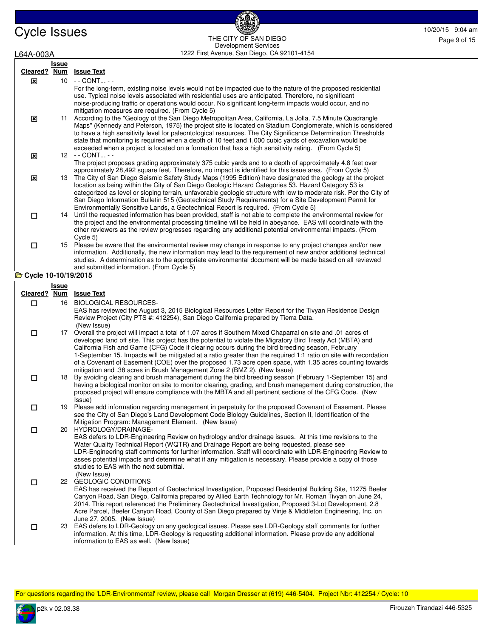Cycle Issues 10/20/15 9:04 am 1222 First Avenue, San Diego, CA 92101-4154 THE CITY OF SAN DIEGO Development Services

| L64A-003A           |              | 1222 First Avenue, San Diego, CA 92101-4154                                                                                                                                                                                                                                                                                                                                                                                                                                                                                                                                                                                                                                                                                                                                                                                                     |
|---------------------|--------------|-------------------------------------------------------------------------------------------------------------------------------------------------------------------------------------------------------------------------------------------------------------------------------------------------------------------------------------------------------------------------------------------------------------------------------------------------------------------------------------------------------------------------------------------------------------------------------------------------------------------------------------------------------------------------------------------------------------------------------------------------------------------------------------------------------------------------------------------------|
|                     | <b>Issue</b> |                                                                                                                                                                                                                                                                                                                                                                                                                                                                                                                                                                                                                                                                                                                                                                                                                                                 |
| Cleared? Num        |              | <u>Issue Text</u>                                                                                                                                                                                                                                                                                                                                                                                                                                                                                                                                                                                                                                                                                                                                                                                                                               |
| ⊠                   |              | 10 - - CONT - -                                                                                                                                                                                                                                                                                                                                                                                                                                                                                                                                                                                                                                                                                                                                                                                                                                 |
| ⊠                   |              | For the long-term, existing noise levels would not be impacted due to the nature of the proposed residential<br>use. Typical noise levels associated with residential uses are anticipated. Therefore, no significant<br>noise-producing traffic or operations would occur. No significant long-term impacts would occur, and no<br>mitigation measures are required. (From Cycle 5)<br>11 According to the "Geology of the San Diego Metropolitan Area, California, La Jolla, 7.5 Minute Quadrangle<br>Maps" (Kennedy and Peterson, 1975) the project site is located on Stadium Conglomerate, which is considered<br>to have a high sensitivity level for paleontological resources. The City Significance Determination Thresholds<br>state that monitoring is required when a depth of 10 feet and 1,000 cubic yards of excavation would be |
| ⊠                   |              | exceeded when a project is located on a formation that has a high sensitivity rating. (From Cycle 5)<br>12 - - CONT - -                                                                                                                                                                                                                                                                                                                                                                                                                                                                                                                                                                                                                                                                                                                         |
|                     |              | The project proposes grading approximately 375 cubic yards and to a depth of approximately 4.8 feet over                                                                                                                                                                                                                                                                                                                                                                                                                                                                                                                                                                                                                                                                                                                                        |
| $\mathbf{x}$        |              | approximately 28,492 square feet. Therefore, no impact is identified for this issue area. (From Cycle 5)<br>13 The City of San Diego Seismic Safety Study Maps (1995 Edition) have designated the geology at the project<br>location as being within the City of San Diego Geologic Hazard Categories 53. Hazard Category 53 is<br>categorized as level or sloping terrain, unfavorable geologic structure with low to moderate risk. Per the City of<br>San Diego Information Bulletin 515 (Geotechnical Study Requirements) for a Site Development Permit for                                                                                                                                                                                                                                                                                 |
| 0                   | 14           | Environmentally Sensitive Lands, a Geotechnical Report is required. (From Cycle 5)<br>Until the requested information has been provided, staff is not able to complete the environmental review for<br>the project and the environmental processing timeline will be held in abeyance. EAS will coordinate with the<br>other reviewers as the review progresses regarding any additional potential environmental impacts. (From<br>Cycle 5)                                                                                                                                                                                                                                                                                                                                                                                                     |
| $\Box$              |              | 15 Please be aware that the environmental review may change in response to any project changes and/or new<br>information. Additionally, the new information may lead to the requirement of new and/or additional technical<br>studies. A determination as to the appropriate environmental document will be made based on all reviewed                                                                                                                                                                                                                                                                                                                                                                                                                                                                                                          |
| Cycle 10-10/19/2015 |              | and submitted information. (From Cycle 5)                                                                                                                                                                                                                                                                                                                                                                                                                                                                                                                                                                                                                                                                                                                                                                                                       |
|                     |              |                                                                                                                                                                                                                                                                                                                                                                                                                                                                                                                                                                                                                                                                                                                                                                                                                                                 |
|                     | <b>Issue</b> | Cleared? Num Issue Text                                                                                                                                                                                                                                                                                                                                                                                                                                                                                                                                                                                                                                                                                                                                                                                                                         |
| $\Box$              | 16           | <b>BIOLOGICAL RESOURCES-</b>                                                                                                                                                                                                                                                                                                                                                                                                                                                                                                                                                                                                                                                                                                                                                                                                                    |
|                     |              | EAS has reviewed the August 3, 2015 Biological Resources Letter Report for the Tivyan Residence Design<br>Review Project (City PTS #: 412254), San Diego California prepared by Tierra Data.<br>(New Issue)                                                                                                                                                                                                                                                                                                                                                                                                                                                                                                                                                                                                                                     |
| $\Box$              |              | 17 Overall the project will impact a total of 1.07 acres if Southern Mixed Chaparral on site and .01 acres of<br>developed land off site. This project has the potential to violate the Migratory Bird Treaty Act (MBTA) and<br>California Fish and Game (CFG) Code if clearing occurs during the bird breeding season, February<br>1-September 15. Impacts will be mitigated at a ratio greater than the required 1:1 ratio on site with recordation<br>of a Covenant of Easement (COE) over the proposed 1.73 acre open space, with 1.35 acres counting towards<br>mitigation and .38 acres in Brush Management Zone 2 (BMZ 2). (New Issue)                                                                                                                                                                                                   |
| $\Box$              | 18           | By avoiding clearing and brush management during the bird breeding season (February 1-September 15) and<br>having a biological monitor on site to monitor clearing, grading, and brush management during construction, the<br>proposed project will ensure compliance with the MBTA and all pertinent sections of the CFG Code. (New<br>Issue)                                                                                                                                                                                                                                                                                                                                                                                                                                                                                                  |
| □                   | 19           | Please add information regarding management in perpetuity for the proposed Covenant of Easement. Please<br>see the City of San Diego's Land Development Code Biology Guidelines, Section II, Identification of the<br>Mitigation Program: Management Element. (New Issue)                                                                                                                                                                                                                                                                                                                                                                                                                                                                                                                                                                       |
| $\Box$              |              | 20 HYDROLOGY/DRAINAGE-<br>EAS defers to LDR-Engineering Review on hydrology and/or drainage issues. At this time revisions to the                                                                                                                                                                                                                                                                                                                                                                                                                                                                                                                                                                                                                                                                                                               |
| $\Box$              |              | Water Quality Technical Report (WQTR) and Drainage Report are being requested, please see<br>LDR-Engineering staff comments for further information. Staff will coordinate with LDR-Engineering Review to<br>asses potential impacts and determine what if any mitigation is necessary. Please provide a copy of those<br>studies to EAS with the next submittal.<br>(New Issue)<br>22 GEOLOGIC CONDITIONS<br>EAS has received the Report of Geotechnical Investigation, Proposed Residential Building Site, 11275 Beeler<br>Canyon Road, San Diego, California prepared by Allied Earth Technology for Mr. Roman Tivyan on June 24,<br>2014. This report referenced the Preliminary Geotechnical Investigation, Proposed 3-Lot Development, 2.8                                                                                                |
| $\Box$              |              | Acre Parcel, Beeler Canyon Road, County of San Diego prepared by Vinje & Middleton Engineering, Inc. on<br>June 27, 2005. (New Issue)<br>23 EAS defers to LDR-Geology on any geological issues. Please see LDR-Geology staff comments for further<br>information. At this time, LDR-Geology is requesting additional information. Please provide any additional<br>information to EAS as well. (New Issue)                                                                                                                                                                                                                                                                                                                                                                                                                                      |

For questions regarding the 'LDR-Environmental' review, please call Morgan Dresser at (619) 446-5404. Project Nbr: 412254 / Cycle: 10

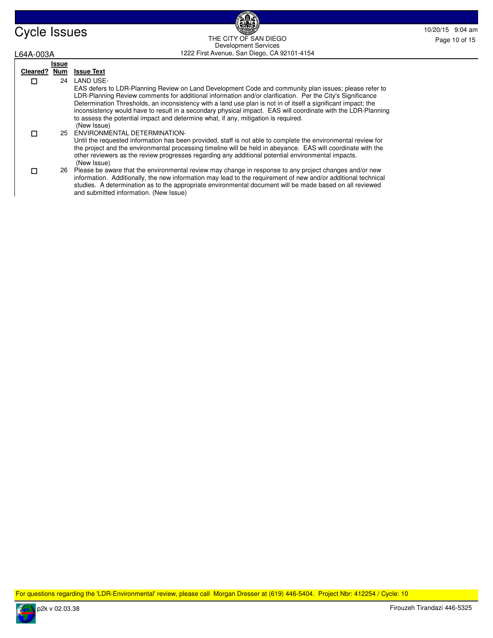| <b>Cycle Issues</b> | <b>BEAT</b>                                   | 10/20/15 9:04 am |
|---------------------|-----------------------------------------------|------------------|
|                     | THE CITY OF SAN DIEGO<br>Development Services | Page 10 of 15    |
| L64A-003A           | 1222 First Avenue, San Diego, CA 92101-4154   |                  |

**BAC** 

| L64A-003A    |       | 1222 First Avenue, San Diego, CA 92101-4154                                                                                                                                                                                                                                                                                                                                                                                                                                                                                                                           |
|--------------|-------|-----------------------------------------------------------------------------------------------------------------------------------------------------------------------------------------------------------------------------------------------------------------------------------------------------------------------------------------------------------------------------------------------------------------------------------------------------------------------------------------------------------------------------------------------------------------------|
|              | Issue |                                                                                                                                                                                                                                                                                                                                                                                                                                                                                                                                                                       |
| Cleared? Num |       | <b>Issue Text</b>                                                                                                                                                                                                                                                                                                                                                                                                                                                                                                                                                     |
| □            | 24    | LAND USE-<br>EAS defers to LDR-Planning Review on Land Development Code and community plan issues; please refer to<br>LDR-Planning Review comments for additional information and/or clarification. Per the City's Significance<br>Determination Thresholds, an inconsistency with a land use plan is not in of itself a significant impact; the<br>inconsistency would have to result in a secondary physical impact. EAS will coordinate with the LDR-Planning<br>to assess the potential impact and determine what, if any, mitigation is required.<br>(New Issue) |
| П            |       | 25 ENVIRONMENTAL DETERMINATION-<br>Until the requested information has been provided, staff is not able to complete the environmental review for<br>the project and the environmental processing timeline will be held in abeyance. EAS will coordinate with the<br>other reviewers as the review progresses regarding any additional potential environmental impacts.<br>(New Issue)                                                                                                                                                                                 |
| п            |       | 26 Please be aware that the environmental review may change in response to any project changes and/or new<br>information. Additionally, the new information may lead to the requirement of new and/or additional technical<br>studies. A determination as to the appropriate environmental document will be made based on all reviewed<br>and submitted information. (New Issue)                                                                                                                                                                                      |

For questions regarding the 'LDR-Environmental' review, please call Morgan Dresser at (619) 446-5404. Project Nbr: 412254 / Cycle: 10

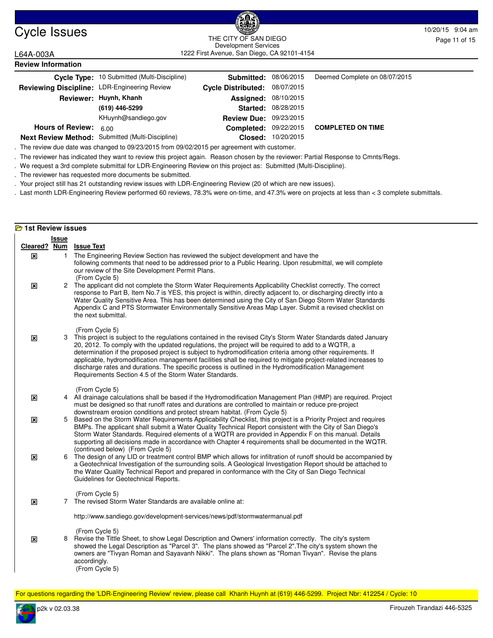

# Cycle Issues 10/20/15 9:04 am and the curvice sample control of the curvice state of the curvice state of the curvice state of the curvice state of the curvice state of the curvice state of the curvice state of the curvice 1222 First Avenue, San Diego, CA 92101-4154 THE CITY OF SAN DIEGO Development Services

L64A-003A **Review Information**

|                                              | Cycle Type: 10 Submitted (Multi-Discipline)      | <b>Submitted: 08/06/2015</b>  |                            | Deemed Complete on 08/07/2015           |
|----------------------------------------------|--------------------------------------------------|-------------------------------|----------------------------|-----------------------------------------|
| Reviewing Discipline: LDR-Engineering Review |                                                  | Cycle Distributed: 08/07/2015 |                            |                                         |
|                                              | Reviewer: Huynh, Khanh                           | <b>Assigned: 08/10/2015</b>   |                            |                                         |
|                                              | (619) 446-5299                                   |                               | <b>Started: 08/28/2015</b> |                                         |
|                                              | KHuynh@sandiego.gov                              | <b>Review Due: 09/23/2015</b> |                            |                                         |
| <b>Hours of Review:</b>                      | 6.00                                             |                               |                            | Completed: 09/22/2015 COMPLETED ON TIME |
|                                              | Next Review Method: Submitted (Multi-Discipline) |                               | Closed: 10/20/2015         |                                         |

. The review due date was changed to 09/23/2015 from 09/02/2015 per agreement with customer.

. The reviewer has indicated they want to review this project again. Reason chosen by the reviewer: Partial Response to Cmnts/Regs.

. We request a 3rd complete submittal for LDR-Engineering Review on this project as: Submitted (Multi-Discipline).

. The reviewer has requested more documents be submitted.

. Your project still has 21 outstanding review issues with LDR-Engineering Review (20 of which are new issues).

. Last month LDR-Engineering Review performed 60 reviews, 78.3% were on-time, and 47.3% were on projects at less than < 3 complete submittals.

|              | <b>E</b> 1st Review issues |                                                                                                                                                                                                                                                                                                                                                                                                                                                                                                                                                                                                                                            |  |  |  |
|--------------|----------------------------|--------------------------------------------------------------------------------------------------------------------------------------------------------------------------------------------------------------------------------------------------------------------------------------------------------------------------------------------------------------------------------------------------------------------------------------------------------------------------------------------------------------------------------------------------------------------------------------------------------------------------------------------|--|--|--|
|              | <b>Issue</b>               |                                                                                                                                                                                                                                                                                                                                                                                                                                                                                                                                                                                                                                            |  |  |  |
|              |                            | Cleared? Num Issue Text                                                                                                                                                                                                                                                                                                                                                                                                                                                                                                                                                                                                                    |  |  |  |
| ×            | $\mathbf{1}$               | The Engineering Review Section has reviewed the subject development and have the<br>following comments that need to be addressed prior to a Public Hearing. Upon resubmittal, we will complete<br>our review of the Site Development Permit Plans.<br>(From Cycle 5)                                                                                                                                                                                                                                                                                                                                                                       |  |  |  |
| $\mathbf{x}$ |                            | 2 The applicant did not complete the Storm Water Requirements Applicability Checklist correctly. The correct<br>response to Part B, Item No.7 is YES, this project is within, directly adjacent to, or discharging directly into a<br>Water Quality Sensitive Area. This has been determined using the City of San Diego Storm Water Standards<br>Appendix C and PTS Stormwater Environmentally Sensitive Areas Map Layer. Submit a revised checklist on<br>the next submittal.                                                                                                                                                            |  |  |  |
| 図            |                            | (From Cycle 5)<br>3 This project is subject to the regulations contained in the revised City's Storm Water Standards dated January<br>20, 2012. To comply with the updated regulations, the project will be required to add to a WQTR, a<br>determination if the proposed project is subject to hydromodification criteria among other requirements. If<br>applicable, hydromodification management facilities shall be required to mitigate project-related increases to<br>discharge rates and durations. The specific process is outlined in the Hydromodification Management<br>Requirements Section 4.5 of the Storm Water Standards. |  |  |  |
| $\mathbf{x}$ |                            | (From Cycle 5)<br>4 All drainage calculations shall be based if the Hydromodification Management Plan (HMP) are required. Project<br>must be designed so that runoff rates and durations are controlled to maintain or reduce pre-project<br>downstream erosion conditions and protect stream habitat. (From Cycle 5)                                                                                                                                                                                                                                                                                                                      |  |  |  |
| ⊠            | 5                          | Based on the Storm Water Requirements Applicability Checklist, this project is a Priority Project and requires<br>BMPs. The applicant shall submit a Water Quality Technical Report consistent with the City of San Diego's<br>Storm Water Standards. Required elements of a WQTR are provided in Appendix F on this manual. Details<br>supporting all decisions made in accordance with Chapter 4 requirements shall be documented in the WQTR.                                                                                                                                                                                           |  |  |  |
| ×            |                            | (continued below) (From Cycle 5)<br>6 The design of any LID or treatment control BMP which allows for infiltration of runoff should be accompanied by<br>a Geotechnical Investigation of the surrounding soils. A Geological Investigation Report should be attached to<br>the Water Quality Technical Report and prepared in conformance with the City of San Diego Technical<br>Guidelines for Geotechnical Reports.                                                                                                                                                                                                                     |  |  |  |
| 区            |                            | (From Cycle 5)<br>7 The revised Storm Water Standards are available online at:                                                                                                                                                                                                                                                                                                                                                                                                                                                                                                                                                             |  |  |  |
|              |                            | http://www.sandiego.gov/development-services/news/pdf/stormwatermanual.pdf                                                                                                                                                                                                                                                                                                                                                                                                                                                                                                                                                                 |  |  |  |
| 図            | 8                          | (From Cycle 5)<br>Revise the Tittle Sheet, to show Legal Description and Owners' information correctly. The city's system<br>showed the Legal Description as "Parcel 3". The plans showed as "Parcel 2". The city's system shown the<br>owners are "Tivyan Roman and Sayavanh Nikki". The plans shown as "Roman Tivyan". Revise the plans<br>accordingly.<br>(From Cycle 5)                                                                                                                                                                                                                                                                |  |  |  |

For questions regarding the 'LDR-Engineering Review' review, please call Khanh Huynh at (619) 446-5299. Project Nbr: 412254 / Cycle: 10

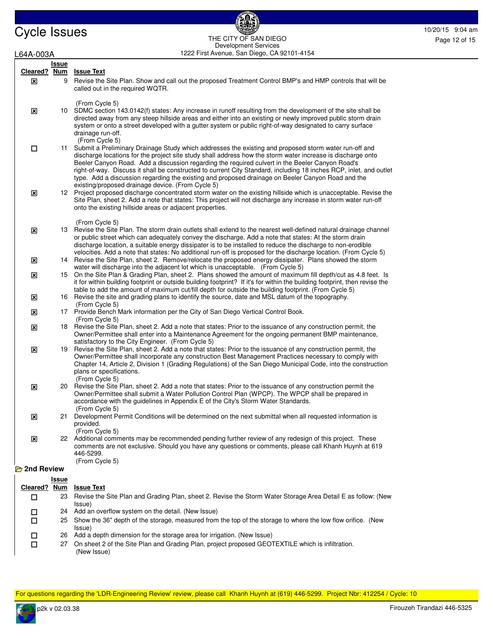Cycle Issues 10/20/15 9:04 am and the city of San Diego 10.20.15 9:04 am and the city of San Diego 10.20.15 9:04 am and the city of San Diego 10.20.15 9:04 am and the city of San Diego 10.20.15 9:04 am and the city of San THE CITY OF SAN DIEGO Development Services

| L64A-003A    |              | 1222 First Avenue, San Diego, CA 92101-4154                                                                                                                                                                                                                                                                                                                                                                                                                                                                                                                          |
|--------------|--------------|----------------------------------------------------------------------------------------------------------------------------------------------------------------------------------------------------------------------------------------------------------------------------------------------------------------------------------------------------------------------------------------------------------------------------------------------------------------------------------------------------------------------------------------------------------------------|
|              | <b>Issue</b> |                                                                                                                                                                                                                                                                                                                                                                                                                                                                                                                                                                      |
| Cleared?     | <b>Num</b>   | <b>Issue Text</b>                                                                                                                                                                                                                                                                                                                                                                                                                                                                                                                                                    |
| ⊠            | 9            | Revise the Site Plan. Show and call out the proposed Treatment Control BMP's and HMP controls that will be<br>called out in the required WQTR.                                                                                                                                                                                                                                                                                                                                                                                                                       |
| $\mathbf{x}$ |              | (From Cycle 5)<br>10 SDMC section 143.0142(f) states: Any increase in runoff resulting from the development of the site shall be<br>directed away from any steep hillside areas and either into an existing or newly improved public storm drain<br>system or onto a street developed with a gutter system or public right-of-way designated to carry surface<br>drainage run-off.                                                                                                                                                                                   |
| □            | 11           | (From Cycle 5)<br>Submit a Preliminary Drainage Study which addresses the existing and proposed storm water run-off and<br>discharge locations for the project site study shall address how the storm water increase is discharge onto<br>Beeler Canyon Road. Add a discussion regarding the required culvert in the Beeler Canyon Road's<br>right-of-way. Discuss it shall be constructed to current City Standard, including 18 inches RCP, inlet, and outlet<br>type. Add a discussion regarding the existing and proposed drainage on Beeler Canyon Road and the |
| $\mathbf{x}$ |              | existing/proposed drainage device. (From Cycle 5)<br>12 Project proposed discharge concentrated storm water on the existing hillside which is unacceptable. Revise the<br>Site Plan, sheet 2. Add a note that states: This project will not discharge any increase in storm water run-off<br>onto the existing hillside areas or adjacent properties.                                                                                                                                                                                                                |
| $\mathbf{x}$ |              | (From Cycle 5)<br>13 Revise the Site Plan. The storm drain outlets shall extend to the nearest well-defined natural drainage channel<br>or public street which can adequately convey the discharge. Add a note that states: At the storm drain<br>discharge location, a suitable energy dissipater is to be installed to reduce the discharge to non-erodible<br>velocities. Add a note that states: No additional run-off is proposed for the discharge location. (From Cycle 5)                                                                                    |
| ⊠            | 14           | Revise the Site Plan, sheet 2. Remove/relocate the proposed energy dissipater. Plans showed the storm<br>water will discharge into the adjacent lot which is unacceptable. (From Cycle 5)                                                                                                                                                                                                                                                                                                                                                                            |
| ⊠            | 15           | On the Site Plan & Grading Plan, sheet 2. Plans showed the amount of maximum fill depth/cut as 4.8 feet. Is<br>it for within building footprint or outside building footprint? If it's for within the building footprint, then revise the<br>table to add the amount of maximum cut/fill depth for outside the building footprint. (From Cycle 5)                                                                                                                                                                                                                    |
| ×            |              | 16 Revise the site and grading plans to identify the source, date and MSL datum of the topography.<br>(From Cycle 5)                                                                                                                                                                                                                                                                                                                                                                                                                                                 |
| ×            |              | 17 Provide Bench Mark information per the City of San Diego Vertical Control Book.<br>(From Cycle 5)                                                                                                                                                                                                                                                                                                                                                                                                                                                                 |
| $\mathbf{x}$ | 18           | Revise the Site Plan, sheet 2. Add a note that states: Prior to the issuance of any construction permit, the<br>Owner/Permittee shall enter into a Maintenance Agreement for the ongoing permanent BMP maintenance,<br>satisfactory to the City Engineer. (From Cycle 5)                                                                                                                                                                                                                                                                                             |
| ⊠            |              | 19 Revise the Site Plan, sheet 2. Add a note that states: Prior to the issuance of any construction permit, the<br>Owner/Permittee shall incorporate any construction Best Management Practices necessary to comply with<br>Chapter 14, Article 2, Division 1 (Grading Regulations) of the San Diego Municipal Code, into the construction<br>plans or specifications.                                                                                                                                                                                               |
| $\mathbf{x}$ | 20           | (From Cycle 5)<br>Revise the Site Plan, sheet 2. Add a note that states: Prior to the issuance of any construction permit the<br>Owner/Permittee shall submit a Water Pollution Control Plan (WPCP). The WPCP shall be prepared in<br>accordance with the guidelines in Appendix E of the City's Storm Water Standards.<br>(From Cycle 5)                                                                                                                                                                                                                            |
| $\mathbf{x}$ | 21           | Development Permit Conditions will be determined on the next submittal when all requested information is<br>provided.<br>(From Cycle 5)                                                                                                                                                                                                                                                                                                                                                                                                                              |
| ⊠            |              | 22 Additional comments may be recommended pending further review of any redesign of this project. These<br>comments are not exclusive. Should you have any questions or comments, please call Khanh Huynh at 619<br>446-5299.<br>(From Cycle 5)                                                                                                                                                                                                                                                                                                                      |
| 2nd Review   |              |                                                                                                                                                                                                                                                                                                                                                                                                                                                                                                                                                                      |
|              | <u>Issue</u> |                                                                                                                                                                                                                                                                                                                                                                                                                                                                                                                                                                      |
| Cleared?     | <u>Num</u>   | <b>Issue Text</b>                                                                                                                                                                                                                                                                                                                                                                                                                                                                                                                                                    |
| □            | 23           | Revise the Site Plan and Grading Plan, sheet 2. Revise the Storm Water Storage Area Detail E as follow: (New<br>Issue)                                                                                                                                                                                                                                                                                                                                                                                                                                               |
| □            | 24           | Add an overflow system on the detail. (New Issue)                                                                                                                                                                                                                                                                                                                                                                                                                                                                                                                    |
| $\Box$       | 25           | Show the 36" depth of the storage, measured from the top of the storage to where the low flow orifice. (New                                                                                                                                                                                                                                                                                                                                                                                                                                                          |

- Issue) □ 26 Add a depth dimension for the storage area for irrigation. (New Issue)
- 27 On sheet 2 of the Site Plan and Grading Plan, project proposed GEOTEXTILE which is infiltration. (New Issue)  $\Box$

For questions regarding the 'LDR-Engineering Review' review, please call Khanh Huynh at (619) 446-5299. Project Nbr: 412254 / Cycle: 10

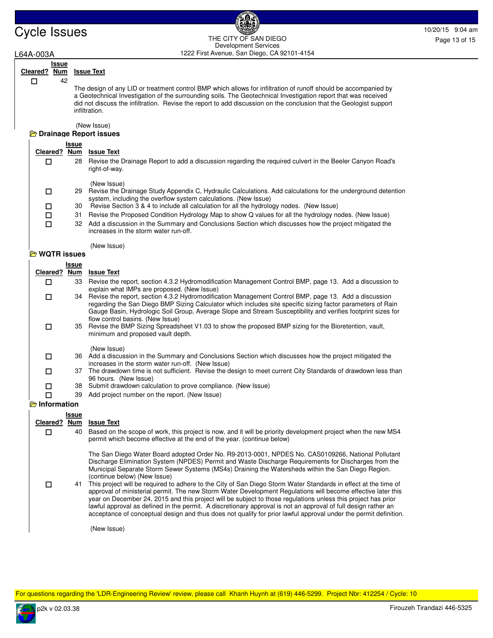# Cycle Issues 10/20/15 9:04 am and the CITY OF SAN PIECE of the CITY OF SAN PIECE of the CITY OF SAN PIECE of the CITY OF SAN PIECE of the CITY OF SAN PIECE of the CITY OF SAN PIECE of the CITY OF SAN PIECE of the CITY OF S THE CITY OF SAN DIEGO Development Services

### L64A-003A 1222 First Avenue, San Diego, CA 92101-4154 **Issue Cleared ? Num Issue Text** 42 The design of any LID or treatment control BMP which allows for infiltration of runoff should be accompanied by a Geotechnical Investigation of the surrounding soils. The Geotechnical Investigation report that was received did not discuss the infiltration. Revise the report to add discussion on the conclusion that the Geologist support infiltration. (New Issue) п **Drainage Report issues Issue Cleared ? Num Issue Text** 28 Revise the Drainage Report to add a discussion regarding the required culvert in the Beeler Canyon Road's right-of-way. (New Issue) п 29 Revise the Drainage Study Appendix C, Hydraulic Calculations. Add calculations for the underground detention system, including the overflow system calculations. (New Issue)  $\Box$  $\Box$  30 Revise Section 3 & 4 to include all calculation for all the hydrology nodes. (New Issue) 31 Revise the Proposed Condition Hydrology Map to show Q values for all the hydrology nodes. (New Issue) 32 Add a discussion in the Summary and Conclusions Section which discusses how the project mitigated the increases in the storm water run-off. (New Issue)  $\Box$ **WQTR issues Issue Cleared ? Num Issue Text** 33 Revise the report, section 4.3.2 Hydromodification Management Control BMP, page 13. Add a discussion to explain what IMPs are proposed. (New Issue)  $\Box$ 34 Revise the report, section 4.3.2 Hydromodification Management Control BMP, page 13. Add a discussion regarding the San Diego BMP Sizing Calculator which includes site specific sizing factor parameters of Rain Gauge Basin, Hydrologic Soil Group, Average Slope and Stream Susceptibility and verifies footprint sizes for flow control basins. (New Issue)  $\Box$ 35 Revise the BMP Sizing Spreadsheet V1.03 to show the proposed BMP sizing for the Bioretention, vault, minimum and proposed vault depth. (New Issue)  $\Box$ 36 Add a discussion in the Summary and Conclusions Section which discusses how the project mitigated the increases in the storm water run-off. (New Issue) □ 37 The drawdown time is not sufficient. Revise the design to meet current City Standards of drawdown less than 96 hours. (New Issue)  $\Box$ **1** 38 Submit drawdown calculation to prove compliance. (New Issue) 39 Add project number on the report. (New Issue) **Information Issue Cleared ? Num Issue Text** 40 Based on the scope of work, this project is now, and it will be priority development project when the new MS4 permit which become effective at the end of the year. (continue below) The San Diego Water Board adopted Order No. R9-2013-0001, NPDES No. CAS0109266, National Pollutant Discharge Elimination System (NPDES) Permit and Waste Discharge Requirements for Discharges from the Municipal Separate Storm Sewer Systems (MS4s) Draining the Watersheds within the San Diego Region. (continue below) (New Issue) □ 41 This project will be required to adhere to the City of San Diego Storm Water Standards in effect at the time of approval of ministerial permit. The new Storm Water Development Regulations will become effective later this year on December 24, 2015 and this project will be subject to those regulations unless this project has prior lawful approval as defined in the permit. A discretionary approval is not an approval of full design rather an acceptance of conceptual design and thus does not qualify for prior lawful approval under the permit definition. (New Issue)  $\Box$

For questions regarding the 'LDR-Engineering Review' review, please call Khanh Huynh at (619) 446-5299. Project Nbr: 412254 / Cycle: 10

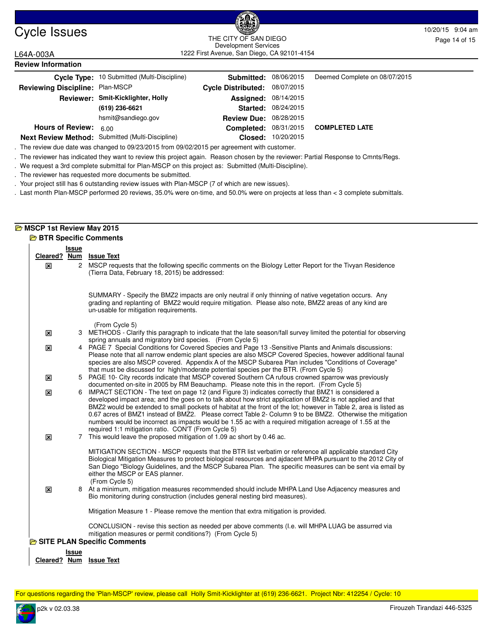# Cycle Issues 10/20/15 9:04 am and the curvice sample control of the curvice state of the curvice state of the curvice state of the curvice state of the curvice state of the curvice state of the curvice state of the curvice 1222 First Avenue, San Diego, CA 92101-4154 THE CITY OF SAN DIEGO Development Services

L64A-003A **Review Information**

|                                 | Cycle Type: 10 Submitted (Multi-Discipline)      | <b>Submitted: 08/06/2015</b>  |                     | Deemed Complete on 08/07/2015 |
|---------------------------------|--------------------------------------------------|-------------------------------|---------------------|-------------------------------|
| Reviewing Discipline: Plan-MSCP |                                                  | Cycle Distributed: 08/07/2015 |                     |                               |
|                                 | Reviewer: Smit-Kicklighter, Holly                | <b>Assigned: 08/14/2015</b>   |                     |                               |
|                                 | (619) 236-6621                                   |                               | Started: 08/24/2015 |                               |
|                                 | hsmit@sandiego.gov                               | <b>Review Due: 08/28/2015</b> |                     |                               |
| <b>Hours of Review:</b>         | 6.00                                             | <b>Completed: 08/31/2015</b>  |                     | <b>COMPLETED LATE</b>         |
|                                 | Next Review Method: Submitted (Multi-Discipline) |                               | Closed: 10/20/2015  |                               |

. The review due date was changed to 09/23/2015 from 09/02/2015 per agreement with customer.

. The reviewer has indicated they want to review this project again. Reason chosen by the reviewer: Partial Response to Cmnts/Regs.

. We request a 3rd complete submittal for Plan-MSCP on this project as: Submitted (Multi-Discipline).

. The reviewer has requested more documents be submitted.

. Your project still has 6 outstanding review issues with Plan-MSCP (7 of which are new issues).

. Last month Plan-MSCP performed 20 reviews, 35.0% were on-time, and 50.0% were on projects at less than < 3 complete submittals.

# **MSCP 1st Review May 2015**

|  |  | <b>BETR Specific Comments</b> |
|--|--|-------------------------------|
|  |  |                               |

|                         | Issue |                                                                                                                                                                                                                                                                                                                                                                                                                                                                                                                                                                                                                         |
|-------------------------|-------|-------------------------------------------------------------------------------------------------------------------------------------------------------------------------------------------------------------------------------------------------------------------------------------------------------------------------------------------------------------------------------------------------------------------------------------------------------------------------------------------------------------------------------------------------------------------------------------------------------------------------|
| Cleared? Num            |       | <b>Issue Text</b>                                                                                                                                                                                                                                                                                                                                                                                                                                                                                                                                                                                                       |
| ×                       |       | 2 MSCP requests that the following specific comments on the Biology Letter Report for the Tivyan Residence<br>(Tierra Data, February 18, 2015) be addressed:                                                                                                                                                                                                                                                                                                                                                                                                                                                            |
|                         |       | SUMMARY - Specify the BMZ2 impacts are only neutral if only thinning of native vegetation occurs. Any<br>grading and replanting of BMZ2 would require mitigation. Please also note, BMZ2 areas of any kind are<br>un-usable for mitigation requirements.                                                                                                                                                                                                                                                                                                                                                                |
| ×                       |       | (From Cycle 5)<br>3 METHODS - Clarify this paragraph to indicate that the late season/fall survey limited the potential for observing<br>spring annuals and migratory bird species. (From Cycle 5)                                                                                                                                                                                                                                                                                                                                                                                                                      |
| ×                       |       | 4 PAGE 7 Special Conditions for Covered Species and Page 13 -Sensitive Plants and Animals discussions:<br>Please note that all narrow endemic plant species are also MSCP Covered Species, however additional faunal<br>species are also MSCP covered. Appendix A of the MSCP Subarea Plan includes "Conditions of Coverage"<br>that must be discussed for high/moderate potential species per the BTR. (From Cycle 5)                                                                                                                                                                                                  |
| ×                       |       | 5 PAGE 10- City records indicate that MSCP covered Southern CA rufous crowned sparrow was previously<br>documented on-site in 2005 by RM Beauchamp. Please note this in the report. (From Cycle 5)                                                                                                                                                                                                                                                                                                                                                                                                                      |
| 区                       |       | 6 IMPACT SECTION - The text on page 12 (and Figure 3) indicates correctly that BMZ1 is considered a<br>developed impact area; and the goes on to talk about how strict application of BMZ2 is not applied and that<br>BMZ2 would be extended to small pockets of habitat at the front of the lot; however in Table 2, area is listed as<br>0.67 acres of BMZ1 instead of BMZ2. Please correct Table 2- Column 9 to be BMZ2. Otherwise the mitigation<br>numbers would be incorrect as impacts would be 1.55 ac with a required mitigation acreage of 1.55 at the<br>required 1:1 mitigation ratio. CON'T (From Cycle 5) |
| $\overline{\mathbf{x}}$ | 7     | This would leave the proposed mitigation of 1.09 ac short by 0.46 ac.                                                                                                                                                                                                                                                                                                                                                                                                                                                                                                                                                   |
|                         |       | MITIGATION SECTION - MSCP requests that the BTR list verbatim or reference all applicable standard City<br>Biological Mitigation Measures to protect biological resources and ajdacent MHPA pursuant to the 2012 City of<br>San Diego "Biology Guidelines, and the MSCP Subarea Plan. The specific measures can be sent via email by<br>either the MSCP or EAS planner.<br>(From Cycle 5)                                                                                                                                                                                                                               |
| ×                       |       | 8 At a minimum, mitigation measures recommended should include MHPA Land Use Adjacency measures and<br>Bio monitoring during construction (includes general nesting bird measures).                                                                                                                                                                                                                                                                                                                                                                                                                                     |
|                         |       | Mitigation Measure 1 - Please remove the mention that extra mitigation is provided.                                                                                                                                                                                                                                                                                                                                                                                                                                                                                                                                     |
|                         |       | CONCLUSION - revise this section as needed per above comments (I.e. will MHPA LUAG be assurred via<br>mitigation measures or permit conditions?) (From Cycle 5)                                                                                                                                                                                                                                                                                                                                                                                                                                                         |
|                         |       | <b>B</b> SITE PLAN Specific Comments                                                                                                                                                                                                                                                                                                                                                                                                                                                                                                                                                                                    |
|                         | Issue |                                                                                                                                                                                                                                                                                                                                                                                                                                                                                                                                                                                                                         |
| Cleared? Num            |       | <b>Issue Text</b>                                                                                                                                                                                                                                                                                                                                                                                                                                                                                                                                                                                                       |

For questions regarding the 'Plan-MSCP' review, please call Holly Smit-Kicklighter at (619) 236-6621. Project Nbr: 412254 / Cycle: 10